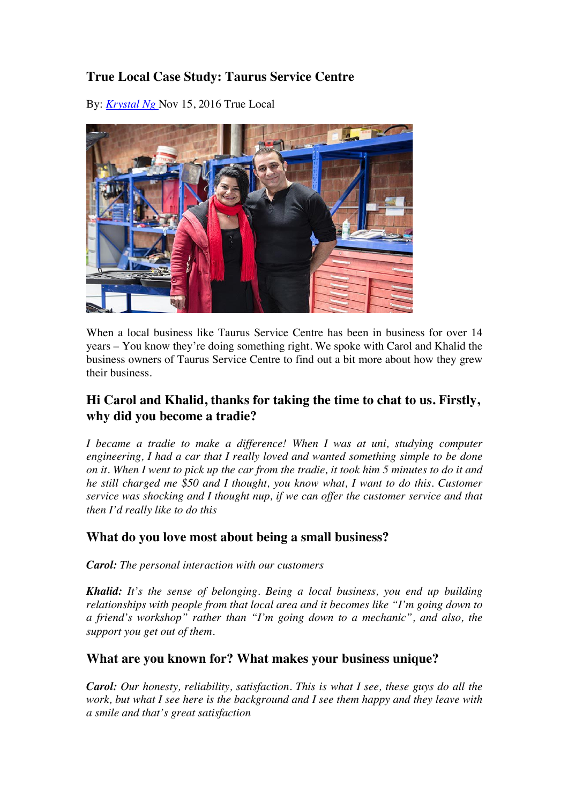# **True Local Case Study: Taurus Service Centre**

By: *Krystal Ng* Nov 15, 2016 True Local



When a local business like Taurus Service Centre has been in business for over 14 years – You know they're doing something right. We spoke with Carol and Khalid the business owners of Taurus Service Centre to find out a bit more about how they grew their business.

# **Hi Carol and Khalid, thanks for taking the time to chat to us. Firstly, why did you become a tradie?**

*I became a tradie to make a difference! When I was at uni, studying computer engineering, I had a car that I really loved and wanted something simple to be done on it. When I went to pick up the car from the tradie, it took him 5 minutes to do it and he still charged me \$50 and I thought, you know what, I want to do this. Customer service was shocking and I thought nup, if we can offer the customer service and that then I'd really like to do this*

## **What do you love most about being a small business?**

*Carol: The personal interaction with our customers*

*Khalid: It's the sense of belonging. Being a local business, you end up building relationships with people from that local area and it becomes like "I'm going down to a friend's workshop" rather than "I'm going down to a mechanic", and also, the support you get out of them.*

## **What are you known for? What makes your business unique?**

*Carol: Our honesty, reliability, satisfaction. This is what I see, these guys do all the work, but what I see here is the background and I see them happy and they leave with a smile and that's great satisfaction*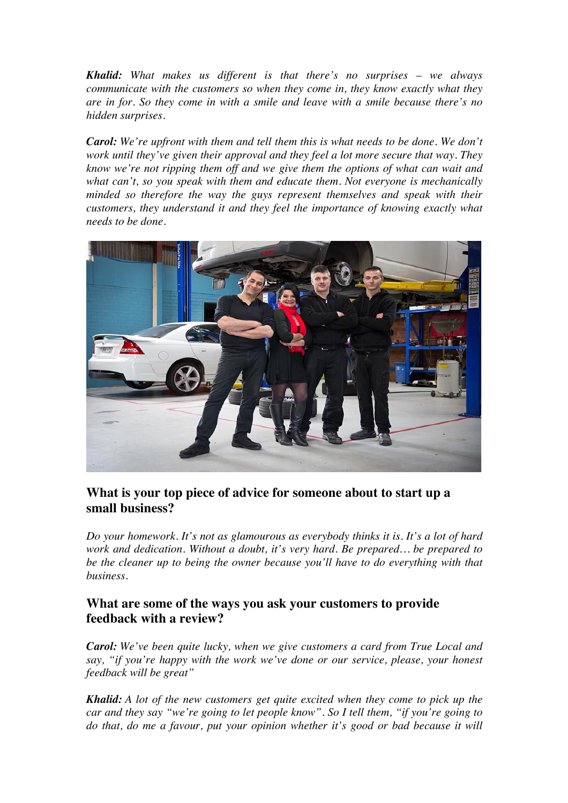*Khalid: What makes us different is that there's no surprises – we always communicate with the customers so when they come in, they know exactly what they are in for. So they come in with a smile and leave with a smile because there's no hidden surprises.*

*Carol: We're upfront with them and tell them this is what needs to be done. We don't work until they've given their approval and they feel a lot more secure that way. They know we're not ripping them off and we give them the options of what can wait and what can't, so you speak with them and educate them. Not everyone is mechanically minded so therefore the way the guys represent themselves and speak with their customers, they understand it and they feel the importance of knowing exactly what needs to be done.*



## **What is your top piece of advice for someone about to start up a small business?**

*Do your homework. It's not as glamourous as everybody thinks it is. It's a lot of hard work and dedication. Without a doubt, it's very hard. Be prepared… be prepared to be the cleaner up to being the owner because you'll have to do everything with that business.*

## **What are some of the ways you ask your customers to provide feedback with a review?**

*Carol: We've been quite lucky, when we give customers a card from True Local and say, "if you're happy with the work we've done or our service, please, your honest feedback will be great"*

*Khalid: A lot of the new customers get quite excited when they come to pick up the car and they say "we're going to let people know". So I tell them, "if you're going to do that, do me a favour, put your opinion whether it's good or bad because it will*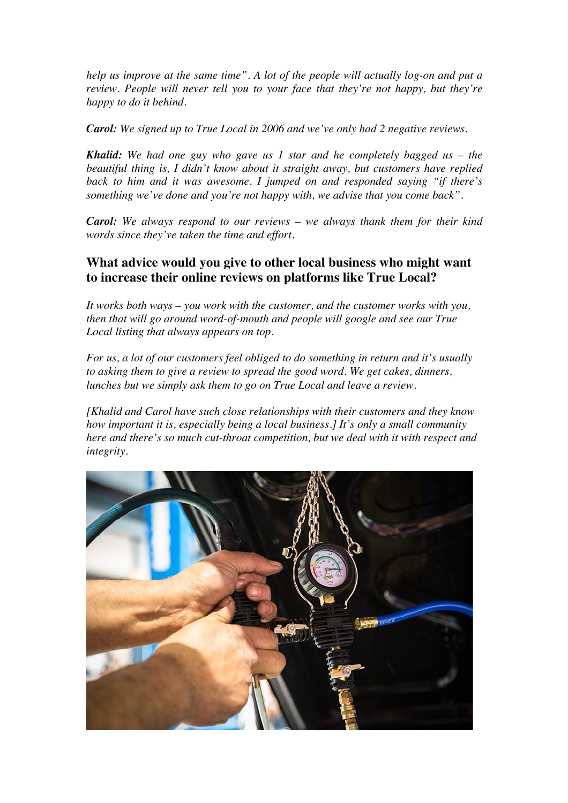*help us improve at the same time". A lot of the people will actually log-on and put a review. People will never tell you to your face that they're not happy, but they're happy to do it behind.*

*Carol: We signed up to True Local in 2006 and we've only had 2 negative reviews.*

*Khalid: We had one guy who gave us 1 star and he completely bagged us – the beautiful thing is, I didn't know about it straight away, but customers have replied back to him and it was awesome. I jumped on and responded saying "if there's something we've done and you're not happy with, we advise that you come back".*

*Carol: We always respond to our reviews – we always thank them for their kind words since they've taken the time and effort.*

## **What advice would you give to other local business who might want to increase their online reviews on platforms like True Local?**

*It works both ways – you work with the customer, and the customer works with you, then that will go around word-of-mouth and people will google and see our True Local listing that always appears on top.*

*For us, a lot of our customers feel obliged to do something in return and it's usually to asking them to give a review to spread the good word. We get cakes, dinners, lunches but we simply ask them to go on True Local and leave a review.*

*[Khalid and Carol have such close relationships with their customers and they know how important it is, especially being a local business.] It's only a small community here and there's so much cut-throat competition, but we deal with it with respect and integrity.*